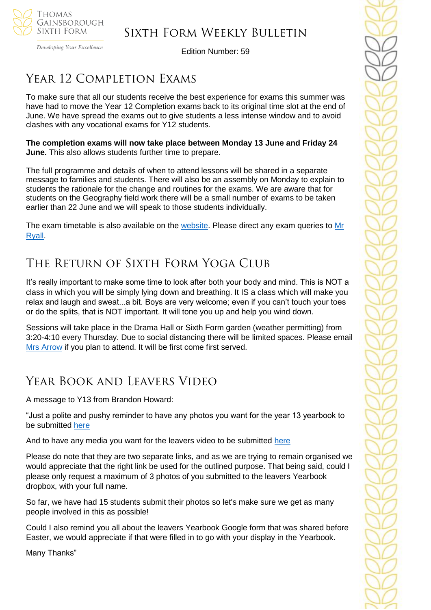

Developing Your Excellence

Edition Number: 59

# YEAR 12 COMPLETION EXAMS

To make sure that all our students receive the best experience for exams this summer was have had to move the Year 12 Completion exams back to its original time slot at the end of June. We have spread the exams out to give students a less intense window and to avoid clashes with any vocational exams for Y12 students.

**The completion exams will now take place between Monday 13 June and Friday 24 June.** This also allows students further time to prepare.

The full programme and details of when to attend lessons will be shared in a separate message to families and students. There will also be an assembly on Monday to explain to students the rationale for the change and routines for the exams. We are aware that for students on the Geography field work there will be a small number of exams to be taken earlier than 22 June and we will speak to those students individually.

The exam timetable is also available on the [website.](https://tgschool.net/sixth-form/year-12-completion-exam-timetable-june-2022) Please direct any exam queries to [Mr](mailto:cryall@tgschool.net)  [Ryall.](mailto:cryall@tgschool.net)

# The Return of Sixth Form Yoga Club

It's really important to make some time to look after both your body and mind. This is NOT a class in which you will be simply lying down and breathing. It IS a class which will make you relax and laugh and sweat...a bit. Boys are very welcome; even if you can't touch your toes or do the splits, that is NOT important. It will tone you up and help you wind down.

Sessions will take place in the Drama Hall or Sixth Form garden (weather permitting) from 3:20-4:10 every Thursday. Due to social distancing there will be limited spaces. Please email [Mrs Arrow](mailto:jarrow@tgschool.net) if you plan to attend. It will be first come first served.

# Year Book and Leavers Video

A message to Y13 from Brandon Howard:

"Just a polite and pushy reminder to have any photos you want for the year 13 yearbook to be submitted [here](https://www.dropbox.com/request/Ras31z3Aq4iRKWDUSwyA)

And to have any media you want for the leavers video to be submitted [here](https://www.dropbox.com/request/WnbqsvX9zcSJernkMPOi)

Please do note that they are two separate links, and as we are trying to remain organised we would appreciate that the right link be used for the outlined purpose. That being said, could I please only request a maximum of 3 photos of you submitted to the leavers Yearbook dropbox, with your full name.

So far, we have had 15 students submit their photos so let's make sure we get as many people involved in this as possible!

Could I also remind you all about the leavers Yearbook Google form that was shared before Easter, we would appreciate if that were filled in to go with your display in the Yearbook.

Many Thanks"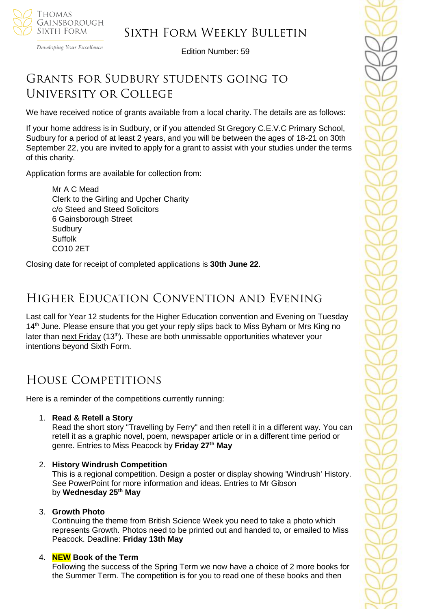

Developing Your Excellence

Edition Number: 59

# GRANTS FOR SUDBURY STUDENTS GOING TO University or College

We have received notice of grants available from a local charity. The details are as follows:

If your home address is in Sudbury, or if you attended St Gregory C.E.V.C Primary School, Sudbury for a period of at least 2 years, and you will be between the ages of 18-21 on 30th September 22, you are invited to apply for a grant to assist with your studies under the terms of this charity.

Application forms are available for collection from:

Mr A C Mead Clerk to the Girling and Upcher Charity c/o Steed and Steed Solicitors 6 Gainsborough Street **Sudbury Suffolk** CO10 2ET

Closing date for receipt of completed applications is **30th June 22**.

# Higher Education Convention and Evening

Last call for Year 12 students for the Higher Education convention and Evening on Tuesday 14<sup>th</sup> June. Please ensure that you get your reply slips back to Miss Byham or Mrs King no later than next Friday (13<sup>th</sup>). These are both unmissable opportunities whatever your intentions beyond Sixth Form.

# House Competitions

Here is a reminder of the competitions currently running:

1. **Read & Retell a Story**

Read the short story "Travelling by Ferry" and then retell it in a different way. You can retell it as a graphic novel, poem, newspaper article or in a different time period or genre. Entries to Miss Peacock by **Friday 27th May**

### 2. **History Windrush Competition**

This is a regional competition. Design a poster or display showing 'Windrush' History. See PowerPoint for more information and ideas. Entries to Mr Gibson by **Wednesday 25th May**

#### 3. **Growth Photo**

Continuing the theme from British Science Week you need to take a photo which represents Growth. Photos need to be printed out and handed to, or emailed to Miss Peacock. Deadline: **Friday 13th May**

#### 4. **NEW Book of the Term**

Following the success of the Spring Term we now have a choice of 2 more books for the Summer Term. The competition is for you to read one of these books and then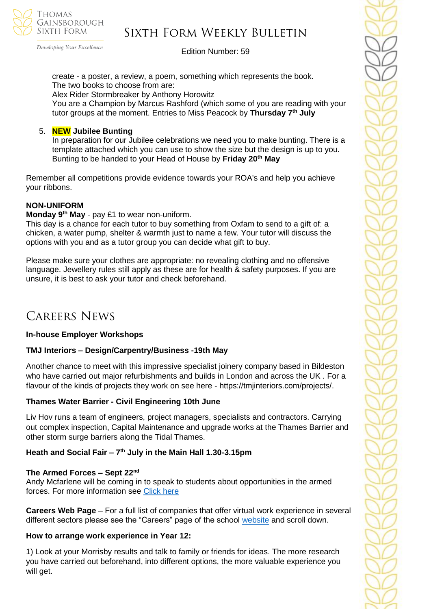

# Sixth Form Weekly Bulletin

Edition Number: 59

create - a poster, a review, a poem, something which represents the book. The two books to choose from are:

Alex Rider Stormbreaker by Anthony Horowitz

You are a Champion by Marcus Rashford (which some of you are reading with your tutor groups at the moment. Entries to Miss Peacock by **Thursday 7th July**

#### 5. **NEW Jubilee Bunting**

In preparation for our Jubilee celebrations we need you to make bunting. There is a template attached which you can use to show the size but the design is up to you. Bunting to be handed to your Head of House by **Friday 20th May**

Remember all competitions provide evidence towards your ROA's and help you achieve your ribbons.

#### **NON-UNIFORM**

**Monday 9th May** - pay £1 to wear non-uniform.

This day is a chance for each tutor to buy something from Oxfam to send to a gift of: a chicken, a water pump, shelter & warmth just to name a few. Your tutor will discuss the options with you and as a tutor group you can decide what gift to buy.

Please make sure your clothes are appropriate: no revealing clothing and no offensive language. Jewellery rules still apply as these are for health & safety purposes. If you are unsure, it is best to ask your tutor and check beforehand.

# Careers News

#### **In-house Employer Workshops**

#### **TMJ Interiors – Design/Carpentry/Business -19th May**

Another chance to meet with this impressive specialist joinery company based in Bildeston who have carried out major refurbishments and builds in London and across the UK . For a flavour of the kinds of projects they work on see here - https://tmjinteriors.com/projects/.

### **Thames Water Barrier - Civil Engineering 10th June**

Liv Hov runs a team of engineers, project managers, specialists and contractors. Carrying out complex inspection, Capital Maintenance and upgrade works at the Thames Barrier and other storm surge barriers along the Tidal Thames.

#### **Heath and Social Fair – 7 th July in the Main Hall 1.30-3.15pm**

#### **The Armed Forces – Sept 22nd**

Andy Mcfarlene will be coming in to speak to students about opportunities in the armed forces. For more information see [Click here](https://www.army.mod.uk/careers/)

**Careers Web Page** – For a full list of companies that offer virtual work experience in several different sectors please see the "Careers" page of the school [website](https://tgschool.net/careers) and scroll down.

#### **How to arrange work experience in Year 12:**

1) Look at your Morrisby results and talk to family or friends for ideas. The more research you have carried out beforehand, into different options, the more valuable experience you will get.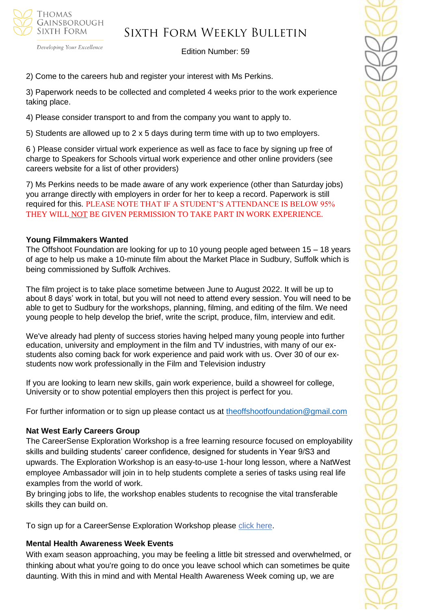

Developing Your Excellence

#### Edition Number: 59

2) Come to the careers hub and register your interest with Ms Perkins.

3) Paperwork needs to be collected and completed 4 weeks prior to the work experience taking place.

4) Please consider transport to and from the company you want to apply to.

5) Students are allowed up to 2 x 5 days during term time with up to two employers.

6 ) Please consider virtual work experience as well as face to face by signing up free of charge to Speakers for Schools virtual work experience and other online providers (see careers website for a list of other providers)

7) Ms Perkins needs to be made aware of any work experience (other than Saturday jobs) you arrange directly with employers in order for her to keep a record. Paperwork is still required for this. PLEASE NOTE THAT IF A STUDENT'S ATTENDANCE IS BELOW 95% THEY WILL NOT BE GIVEN PERMISSION TO TAKE PART IN WORK EXPERIENCE.

#### **Young Filmmakers Wanted**

The Offshoot Foundation are looking for up to 10 young people aged between 15 – 18 years of age to help us make a 10-minute film about the Market Place in Sudbury, Suffolk which is being commissioned by Suffolk Archives.

The film project is to take place sometime between June to August 2022. It will be up to about 8 days' work in total, but you will not need to attend every session. You will need to be able to get to Sudbury for the workshops, planning, filming, and editing of the film. We need young people to help develop the brief, write the script, produce, film, interview and edit.

We've already had plenty of success stories having helped many young people into further education, university and employment in the film and TV industries, with many of our exstudents also coming back for work experience and paid work with us. Over 30 of our exstudents now work professionally in the Film and Television industry

If you are looking to learn new skills, gain work experience, build a showreel for college, University or to show potential employers then this project is perfect for you.

For further information or to sign up please contact us at [theoffshootfoundation@gmail.com](mailto:theoffshootfoundation@gmail.com)

#### **Nat West Early Careers Group**

The CareerSense Exploration Workshop is a free learning resource focused on employability skills and building students' career confidence, designed for students in Year 9/S3 and upwards. The Exploration Workshop is an easy-to-use 1-hour long lesson, where a NatWest employee Ambassador will join in to help students complete a series of tasks using real life examples from the world of work.

By bringing jobs to life, the workshop enables students to recognise the vital transferable skills they can build on.

To sign up for a CareerSense Exploration Workshop please [click here.](https://nam12.safelinks.protection.outlook.com/?url=https%3A%2F%2Fnationalschoolspartnership.com%2Finitiatives%2Fnatwest-careersense%2F&data=05%7C01%7C%7Cbbe871b7a04f406a4ed908da2cda8ba8%7C84df9e7fe9f640afb435aaaaaaaaaaaa%7C1%7C0%7C637871614441077256%7CUnknown%7CTWFpbGZsb3d8eyJWIjoiMC4wLjAwMDAiLCJQIjoiV2luMzIiLCJBTiI6Ik1haWwiLCJXVCI6Mn0%3D%7C3000%7C%7C%7C&sdata=1qrdlw6Rrs95ljkTpU358n6JSzkOMH0qK2nLzezAqzE%3D&reserved=0)

#### **Mental Health Awareness Week Events**

With exam season approaching, you may be feeling a little bit stressed and overwhelmed, or thinking about what you're going to do once you leave school which can sometimes be quite daunting. With this in mind and with Mental Health Awareness Week coming up, we are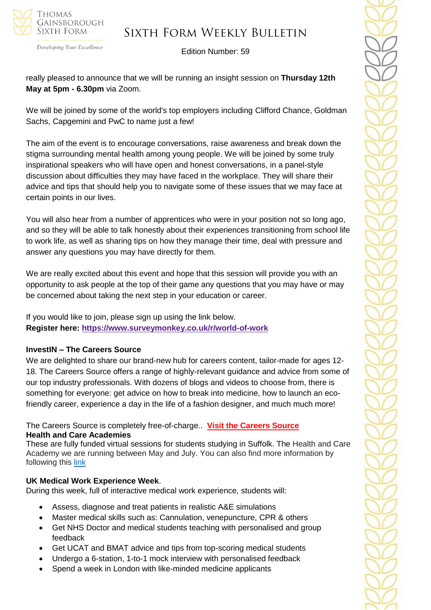

Sixth Form Weekly Bulletin

Edition Number: 59

really pleased to announce that we will be running an insight session on **Thursday 12th May at 5pm - 6.30pm** via Zoom.

We will be joined by some of the world's top employers including Clifford Chance, Goldman Sachs, Capgemini and PwC to name just a few!

The aim of the event is to encourage conversations, raise awareness and break down the stigma surrounding mental health among young people. We will be joined by some truly inspirational speakers who will have open and honest conversations, in a panel-style discussion about difficulties they may have faced in the workplace. They will share their advice and tips that should help you to navigate some of these issues that we may face at certain points in our lives.

You will also hear from a number of apprentices who were in your position not so long ago, and so they will be able to talk honestly about their experiences transitioning from school life to work life, as well as sharing tips on how they manage their time, deal with pressure and answer any questions you may have directly for them.

We are really excited about this event and hope that this session will provide you with an opportunity to ask people at the top of their game any questions that you may have or may be concerned about taking the next step in your education or career.

If you would like to join, please sign up using the link below. **Register here: [https://www.surveymonkey.co.uk/r/world-of-work](https://stats.sender.net/link_click/wCHHOMLjtE_gmJDD/a649094ad04a8a97625ff969efddee5d)**

# **InvestIN – The Careers Source**

We are delighted to share our brand-new hub for careers content, tailor-made for ages 12- 18. The Careers Source offers a range of highly-relevant guidance and advice from some of our top industry professionals. With dozens of blogs and videos to choose from, there is something for everyone: get advice on how to break into medicine, how to launch an ecofriendly career, experience a day in the life of a fashion designer, and much much more!

The Careers Source is completely free-of-charge.. **[Visit the Careers Source](https://investin.org/blogs/news?utm_source=UK+SCHOOLS+MASTER&utm_campaign=1ee1dfa2a1-bankersschoolmar_COPY_01&utm_medium=email&utm_term=0_bfccb03bbd-1ee1dfa2a1-137697031&mc_cid=1ee1dfa2a1&mc_eid=894e4199ae) Health and Care Academies**

These are fully funded virtual sessions for students studying in Suffolk. The Health and Care Academy we are running between May and July. You can also find more information by following this [link](https://www.wsh.nhs.uk/Join-our-team/Health-and-care-academies/Health-and-care-academy.aspx)

### **UK Medical Work Experience Week**.

During this week, full of interactive medical work experience, students will:

- Assess, diagnose and treat patients in realistic A&E simulations
- Master medical skills such as: Cannulation, venepuncture, CPR & others
- Get NHS Doctor and medical students teaching with personalised and group feedback
- Get UCAT and BMAT advice and tips from top-scoring medical students
- Undergo a 6-station, 1-to-1 mock interview with personalised feedback
- Spend a week in London with like-minded medicine applicants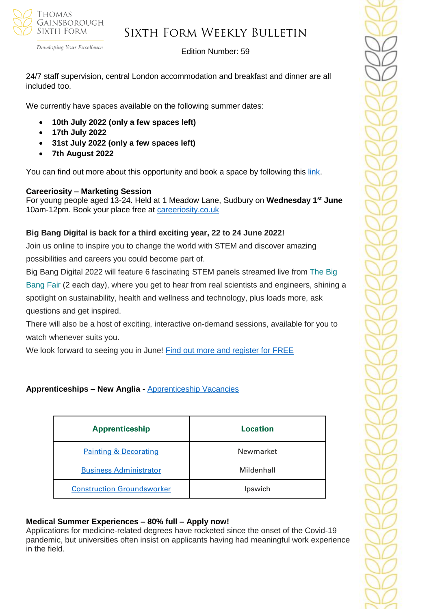

Developing Your Excellence

#### Edition Number: 59

24/7 staff supervision, central London accommodation and breakfast and dinner are all included too.

We currently have spaces available on the following summer dates:

- **10th July 2022 (only a few spaces left)**
- **17th July 2022**
- **31st July 2022 (only a few spaces left)**
- **7th August 2022**

You can find out more about this opportunity and book a space by following this [link.](educationprojects.co.uk/courses/uk-medical-work-experience-course.)

# **Careeriosity – Marketing Session**

For young people aged 13-24. Held at 1 Meadow Lane, Sudbury on **Wednesday 1st June** 10am-12pm. Book your place free at [careeriosity.co.uk](http://www.careeriosity.co.uk/)

# **Big Bang Digital is back for a third exciting year, 22 to 24 June 2022!**

Join us online to inspire you to change the world with STEM and discover amazing possibilities and careers you could become part of.

Big Bang Digital 2022 will feature 6 fascinating STEM panels streamed live from [The](https://successatschool.us3.list-manage.com/track/click?u=2c038531b25876a2c7c9cf8b1&id=79b91b13d1&e=530f418f3c) Big [Bang](https://successatschool.us3.list-manage.com/track/click?u=2c038531b25876a2c7c9cf8b1&id=79b91b13d1&e=530f418f3c) Fair (2 each day), where you get to hear from real scientists and engineers, shining a spotlight on sustainability, health and wellness and technology, plus loads more, ask questions and get inspired.

There will also be a host of exciting, interactive on-demand sessions, available for you to watch whenever suits you.

We look forward to seeing you in June! [Find out more and register for FREE](https://www.thebigbang.org.uk/big-bang-digital/?utm_source=email&utm_medium=SuccessAtSch&utm_campaign=BBD22&goal=0_65c6d67e71-25573faee5-212136547&mc_cid=25573faee5&mc_eid=530f418f3c)

# **Apprenticeships – New Anglia -** [Apprenticeship Vacancies](https://v2.apprenticeshipsnewanglia.co.uk/apprenticeships/search/?s_query=&s_location=&s_distance=30&s_trade=0&s_apprenticeshipLevel=0&prop_View=list&prop_sort=created+desc)

| <b>Apprenticeship</b>             | Location   |
|-----------------------------------|------------|
| <b>Painting &amp; Decorating</b>  | Newmarket  |
| <b>Business Administrator</b>     | Mildenhall |
| <b>Construction Groundsworker</b> | Ipswich    |

### **Medical Summer Experiences – 80% full – Apply now!**

Applications for medicine-related degrees have rocketed since the onset of the Covid-19 pandemic, but universities often insist on applicants having had meaningful work experience in the field.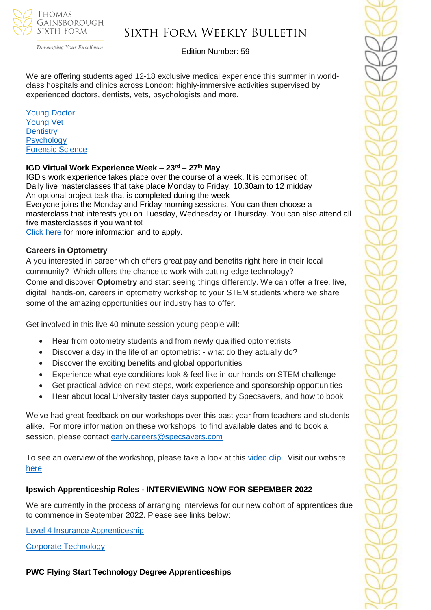

Developing Your Excellence

### Edition Number: 59

We are offering students aged 12-18 exclusive medical experience this summer in worldclass hospitals and clinics across London: highly-immersive activities supervised by experienced doctors, dentists, vets, psychologists and more.

[Young Doctor](https://investin.org/products/the-young-doctor-summer-experience?utm_source=UK+SCHOOLS+MASTER&utm_campaign=cb294f33d3-bankersschoolmar_COPY_01&utm_medium=email&utm_term=0_bfccb03bbd-cb294f33d3-139395017&mc_cid=cb294f33d3&mc_eid=943ed691cb) [Young Vet](https://investin.org/products/the-young-vet-summer-experience?utm_source=UK+SCHOOLS+MASTER&utm_campaign=cb294f33d3-bankersschoolmar_COPY_01&utm_medium=email&utm_term=0_bfccb03bbd-cb294f33d3-139395017&mc_cid=cb294f33d3&mc_eid=943ed691cb)  **[Dentistry](https://investin.org/products/the-young-dentist-summer-experience?utm_source=UK+SCHOOLS+MASTER&utm_campaign=cb294f33d3-bankersschoolmar_COPY_01&utm_medium=email&utm_term=0_bfccb03bbd-cb294f33d3-139395017&mc_cid=cb294f33d3&mc_eid=943ed691cb) Psychology** [Forensic Science](https://investin.org/products/the-young-forensic-scientist-summer-experience?utm_source=UK+SCHOOLS+MASTER&utm_campaign=cb294f33d3-bankersschoolmar_COPY_01&utm_medium=email&utm_term=0_bfccb03bbd-cb294f33d3-139395017&mc_cid=cb294f33d3&mc_eid=943ed691cb) 

#### **IGD Virtual Work Experience Week – 23rd – 27th May**

IGD's work experience takes place over the course of a week. It is comprised of: Daily live masterclasses that take place Monday to Friday, 10.30am to 12 midday An optional project task that is completed during the week

Everyone joins the Monday and Friday morning sessions. You can then choose a masterclass that interests you on Tuesday, Wednesday or Thursday. You can also attend all five masterclasses if you want to!

[Click](https://igd.eventsair.com/work-experience-week---may-2022/weweekmay22/Site/Register) here for more information and to apply.

#### **Careers in Optometry**

A you interested in career which offers great pay and benefits right here in their local community? Which offers the chance to work with cutting edge technology? Come and discover **Optometry** and start seeing things differently. We can offer a free, live, digital, hands-on, careers in optometry workshop to your STEM students where we share some of the amazing opportunities our industry has to offer.

Get involved in this live 40-minute session young people will:

- Hear from optometry students and from newly qualified optometrists
- Discover a day in the life of an optometrist what do they actually do?
- Discover the exciting benefits and global opportunities
- Experience what eye conditions look & feel like in our hands-on STEM challenge
- Get practical advice on next steps, work experience and sponsorship opportunities
- Hear about local University taster days supported by Specsavers, and how to book

We've had great feedback on our workshops over this past year from teachers and students alike. For more information on these workshops, to find available dates and to book a session, please contact [early.careers@specsavers.com](mailto:early.careers@specsavers.com)

To see an overview of the workshop, please take a look at this [video clip.](https://nam12.safelinks.protection.outlook.com/?url=https%3A%2F%2Fsuccessatschool.us3.list-manage.com%2Ftrack%2Fclick%3Fu%3D2c038531b25876a2c7c9cf8b1%26id%3D5c986ac395%26e%3D530f418f3c&data=05%7C01%7C%7C6cf3eaa7211d47d7be7108da281f155d%7C84df9e7fe9f640afb435aaaaaaaaaaaa%7C1%7C0%7C637866411217918949%7CUnknown%7CTWFpbGZsb3d8eyJWIjoiMC4wLjAwMDAiLCJQIjoiV2luMzIiLCJBTiI6Ik1haWwiLCJXVCI6Mn0%3D%7C3000%7C%7C%7C&sdata=fpx3af1uG1mv%2FUXeoGiTAs%2FT5AZKI4Ek7jQLrSJzpdA%3D&reserved=0) Visit our website [here.](https://join.specsavers.com/uk/explore-careers/apprenticeships-and-future-talent-at-specsavers/stem-careers-in-optometry-with-specsavers/?goal=0_65c6d67e71-c7ac42d489-212136547&mc_cid=c7ac42d489&mc_eid=530f418f3c)

### **Ipswich Apprenticeship Roles - INTERVIEWING NOW FOR SEPEMBER 2022**

We are currently in the process of arranging interviews for our new cohort of apprentices due to commence in September 2022. Please see links below:

[Level 4 Insurance Apprenticeship](https://wtw.taleo.net/careersection/wtw_external_campus/jobdetail.ftl?job=210007X9&lang=en&sns_id=mailto#.YmKxSmHKNrU.mailto)

[Corporate Technology](https://wtw.taleo.net/careersection/wtw_external_campus/jobdetail.ftl?job=2200011W&lang=en&sns_id=mailto#.YmKyYn05U6o.mailto)

**PWC Flying Start Technology Degree Apprenticeships**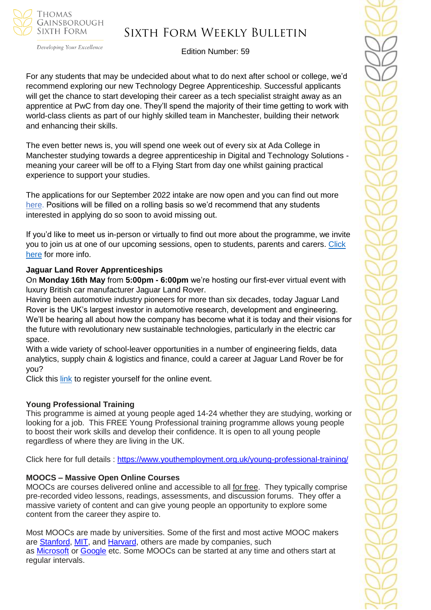

# Sixth Form Weekly Bulletin

Edition Number: 59

For any students that may be undecided about what to do next after school or college, we'd recommend exploring our new Technology Degree Apprenticeship. Successful applicants will get the chance to start developing their career as a tech specialist straight away as an apprentice at PwC from day one. They'll spend the majority of their time getting to work with world-class clients as part of our highly skilled team in Manchester, building their network and enhancing their skills.

The even better news is, you will spend one week out of every six at Ada College in Manchester studying towards a degree apprenticeship in Digital and Technology Solutions meaning your career will be off to a Flying Start from day one whilst gaining practical experience to support your studies.

The applications for our September 2022 intake are now open and you can find out more [here.](https://nam12.safelinks.protection.outlook.com/?url=https%3A%2F%2Fnetsxithform.us5.list-manage.com%2Ftrack%2Fclick%3Fu%3D8dedc07ce580600fe618f38c3%26id%3D8c8c5e0f3a%26e%3D51b5a4fd55&data=05%7C01%7C%7Ccc4a1e13ecdb46e27cd408da2697d641%7C84df9e7fe9f640afb435aaaaaaaaaaaa%7C1%7C0%7C637864730853496189%7CUnknown%7CTWFpbGZsb3d8eyJWIjoiMC4wLjAwMDAiLCJQIjoiV2luMzIiLCJBTiI6Ik1haWwiLCJXVCI6Mn0%3D%7C3000%7C%7C%7C&sdata=OU7kjOo2MpAnGrEg43oNHN3bVJHoTnyKaXTy5NOXQSY%3D&reserved=0) Positions will be filled on a rolling basis so we'd recommend that any students interested in applying do so soon to avoid missing out.

If you'd like to meet us in-person or virtually to find out more about the programme, we invite you to join us at one of our upcoming sessions, open to students, parents and carers. [Click](https://www.pwc.co.uk/careers/student-careers/school-careers/our-programmes/flying-start-degrees/technology.html)  [here](https://www.pwc.co.uk/careers/student-careers/school-careers/our-programmes/flying-start-degrees/technology.html) for more info.

#### **Jaguar Land Rover Apprenticeships**

On **Monday 16th May** from **5:00pm - 6:00pm** we're hosting our first-ever virtual event with luxury British car manufacturer Jaguar Land Rover.

Having been automotive industry pioneers for more than six decades, today Jaguar Land Rover is the UK's largest investor in automotive research, development and engineering. We'll be hearing all about how the company has become what it is today and their visions for the future with revolutionary new sustainable technologies, particularly in the electric car space.

With a wide variety of school-leaver opportunities in a number of engineering fields, data analytics, supply chain & logistics and finance, could a career at Jaguar Land Rover be for you?

Click this [link](https://www.surveymonkey.co.uk/r/JLR-Event) to register yourself for the online event.

#### **Young Professional Training**

This programme is aimed at young people aged 14-24 whether they are studying, working or looking for a job. This FREE Young Professional training programme allows young people to boost their work skills and develop their confidence. It is open to all young people regardless of where they are living in the UK.

Click here for full details : <https://www.youthemployment.org.uk/young-professional-training/>

#### **MOOCS – Massive Open Online Courses**

MOOCs are courses delivered online and accessible to all for free. They typically comprise pre-recorded video lessons, readings, assessments, and discussion forums. They offer a massive variety of content and can give young people an opportunity to explore some content from the career they aspire to.

Most MOOCs are made by universities. Some of the first and most active MOOC makers are [Stanford,](https://www.classcentral.com/university/stanford) [MIT,](https://www.classcentral.com/university/mit) and [Harvard,](https://www.classcentral.com/university/harvard) others are made by companies, such as [Microsoft](https://www.classcentral.com/institution/microsoft) or [Google](https://www.classcentral.com/institution/google) etc. Some MOOCs can be started at any time and others start at regular intervals.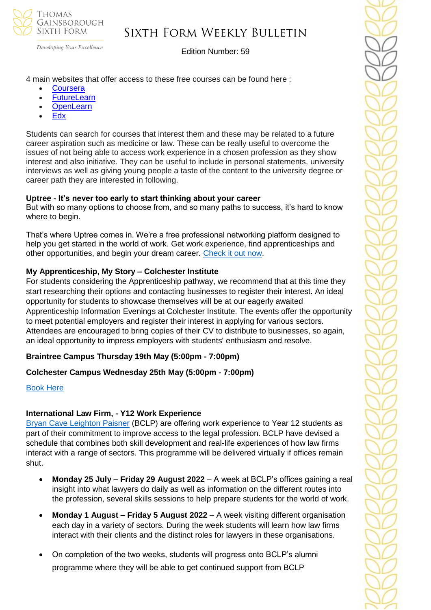

# Sixth Form Weekly Bulletin

Edition Number: 59

4 main websites that offer access to these free courses can be found here :

- **[Coursera](https://www.coursera.org/)**
- **[FutureLearn](https://www.futurelearn.com/)**
- [OpenLearn](https://www.open.edu/openlearn/free-courses/full-catalogue)
- [Edx](https://www.edx.org/)

Students can search for courses that interest them and these may be related to a future career aspiration such as medicine or law. These can be really useful to overcome the issues of not being able to access work experience in a chosen profession as they show interest and also initiative. They can be useful to include in personal statements, university interviews as well as giving young people a taste of the content to the university degree or career path they are interested in following.

### **Uptree - It's never too early to start thinking about your career**

But with so many options to choose from, and so many paths to success, it's hard to know where to begin.

That's where Uptree comes in. We're a free professional networking platform designed to help you get started in the world of work. Get work experience, find apprenticeships and other opportunities, and begin your dream career. [Check it out now.](https://uptree.co/students/)

### **My Apprenticeship, My Story – Colchester Institute**

For students considering the Apprenticeship pathway, we recommend that at this time they start researching their options and contacting businesses to register their interest. An ideal opportunity for students to showcase themselves will be at our eagerly awaited Apprenticeship Information Evenings at Colchester Institute. The events offer the opportunity to meet potential employers and register their interest in applying for various sectors. Attendees are encouraged to bring copies of their CV to distribute to businesses, so again, an ideal opportunity to impress employers with students' enthusiasm and resolve.

### **Braintree Campus Thursday 19th May (5:00pm - 7:00pm)**

### **Colchester Campus Wednesday 25th May (5:00pm - 7:00pm)**

#### [Book Here](https://www.colchester.ac.uk/events/?f24_pid=db01a9d4-1973-4328-8f22-9e8504b0ca3f&utm_campaign=2022%2003%2030%20-%20Schools%20Update%20-%2092&utm_source=force24&utm_medium=email&utm_content=textlink)

#### **International Law Firm, - Y12 Work Experience**

[Bryan Cave Leighton Paisner](https://nam12.safelinks.protection.outlook.com/?url=https%3A%2F%2Fmykindacrowd.us6.list-manage.com%2Ftrack%2Fclick%3Fu%3Ded0d3c8306048bd1aa89fb8aa%26id%3Dd4b5888e23%26e%3D6a71ef3d64&data=04%7C01%7C%7Ca42d6fcdb3294051de3a08da0035846a%7C84df9e7fe9f640afb435aaaaaaaaaaaa%7C1%7C0%7C637822527094728893%7CUnknown%7CTWFpbGZsb3d8eyJWIjoiMC4wLjAwMDAiLCJQIjoiV2luMzIiLCJBTiI6Ik1haWwiLCJXVCI6Mn0%3D%7C3000&sdata=ZDGSKFlvIYYjNkmN9S6ZheP1SMAkGXRalT2hYqJWzmM%3D&reserved=0) (BCLP) are offering work experience to Year 12 students as part of their commitment to improve access to the legal profession. BCLP have devised a schedule that combines both skill development and real-life experiences of how law firms interact with a range of sectors. This programme will be delivered virtually if offices remain shut.

- **Monday 25 July – Friday 29 August 2022**  A week at BCLP's offices gaining a real insight into what lawyers do daily as well as information on the different routes into the profession, several skills sessions to help prepare students for the world of work.
- **Monday 1 August – Friday 5 August 2022** A week visiting different organisation each day in a variety of sectors. During the week students will learn how law firms interact with their clients and the distinct roles for lawyers in these organisations.
- On completion of the two weeks, students will progress onto BCLP's alumni programme where they will be able to get continued support from BCLP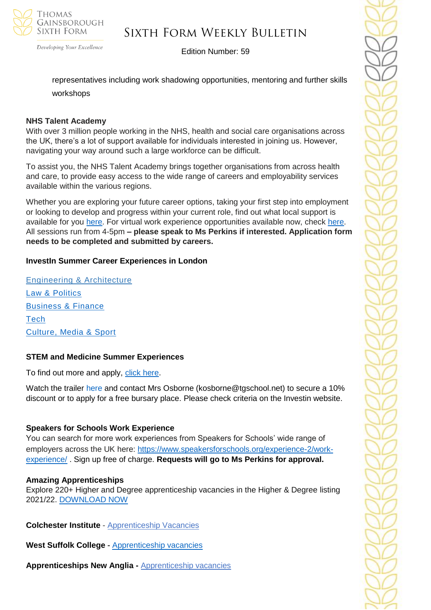

# Sixth Form Weekly Bulletin

Edition Number: 59

representatives including work shadowing opportunities, mentoring and further skills workshops

### **NHS Talent Academy**

With over 3 million people working in the NHS, health and social care organisations across the UK, there's a lot of support available for individuals interested in joining us. However, navigating your way around such a large workforce can be difficult.

To assist you, the NHS Talent Academy brings together organisations from across health and care, to provide easy access to the wide range of careers and employability services available within the various regions.

Whether you are exploring your future career options, taking your first step into employment or looking to develop and progress within your current role, find out what local support is available for you [here.](https://nhstalentacademy.org.uk/) For virtual work experience opportunities available now, check [here.](https://nhstalentacademy.org.uk/?s=Let%27s+Talk+About) All sessions run from 4-5pm **– please speak to Ms Perkins if interested. Application form needs to be completed and submitted by careers.**

### **InvestIn Summer Career Experiences in London**

[Engineering & Architecture](https://investin.org/pages/choose-your-engineering-architecture-summer-experience) [Law & Politics](https://investin.org/pages/choose-your-law-politics-summer-experience) [Business & Finance](https://investin.org/pages/choose-your-business-finance-summer-experience) **[Tech](https://investin.org/pages/choose-your-tech-summer-experience)** [Culture, Media & Sport](https://investin.org/pages/choose-your-culture-media-sport-summer-experience)

### **STEM and Medicine Summer Experiences**

To find out more and apply, [click here.](https://investin.org/pages/choose-your-stem-summer-experience?utm_source=UK+SCHOOLS+MASTER&utm_campaign=a31ab330e2-bankersschoolmar_COPY_01&utm_medium=email&utm_term=0_bfccb03bbd-a31ab330e2-137697031&mc_cid=a31ab330e2&mc_eid=894e4199ae)

Watch the trailer [here](https://investin.org/blogs/news/summer-experiences-2022?utm_source=UK+SCHOOLS+MASTER&utm_campaign=b369a1e6b8-bankersschoolmar_COPY_01&utm_medium=email&utm_term=0_bfccb03bbd-b369a1e6b8-139395613&mc_cid=b369a1e6b8&mc_eid=0dcddf7ff6) and contact Mrs Osborne (kosborne@tgschool.net) to secure a 10% discount or to apply for a free bursary place. Please check criteria on the Investin website.

### **Speakers for Schools Work Experience**

You can search for more work experiences from Speakers for Schools' wide range of employers across the UK here: [https://www.speakersforschools.org/experience-2/work](https://www.speakersforschools.org/experience-2/work-experience/)[experience/](https://www.speakersforschools.org/experience-2/work-experience/) . Sign up free of charge. **Requests will go to Ms Perkins for approval.**

#### **Amazing Apprenticeships**

Explore 220+ Higher and Degree apprenticeship vacancies in the Higher & Degree listing 2021/22. [DOWNLOAD NOW](https://amazingapprenticeships.com/resource/higher-and-degree-listing/)

**Colchester Institute** - Apprenticeship Vacancies

**West Suffolk College -** [Apprenticeship vacancies](https://www.wsc.ac.uk/find-a-course/apprenticeships)

**Apprenticeships New Anglia -** [Apprenticeship vacancies](https://www.apprenticeshipsnewanglia.co.uk/)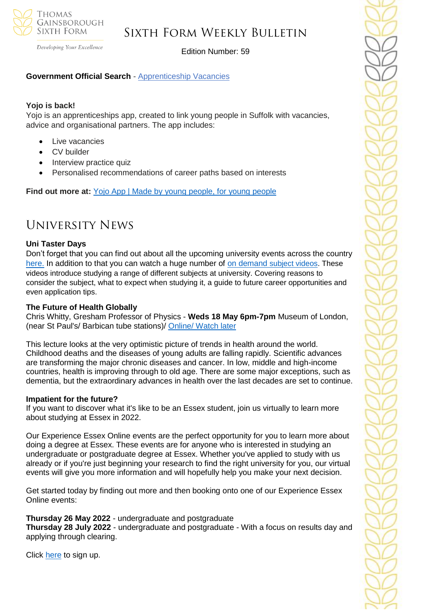

Developing Your Excellence

# Edition Number: 59

### **Government Official Search** - [Apprenticeship Vacancies](https://www.gov.uk/apply-apprenticeship)

#### **Yojo is back!**

Yojo is an apprenticeships app, created to link young people in Suffolk with vacancies, advice and organisational partners. The app includes:

- **Live vacancies**
- **CV** builder
- Interview practice quiz
- Personalised recommendations of career paths based on interests

**Find out more at:** [Yojo App | Made by young people, for young people](https://emea01.safelinks.protection.outlook.com/?url=https%3A%2F%2Fyojoapp.co.uk%2F&data=04%7C01%7C%7C4c6c44ecc3fb4f20ff7908d9db3b3618%7C84df9e7fe9f640afb435aaaaaaaaaaaa%7C1%7C0%7C637781869767483855%7CUnknown%7CTWFpbGZsb3d8eyJWIjoiMC4wLjAwMDAiLCJQIjoiV2luMzIiLCJBTiI6Ik1haWwiLCJXVCI6Mn0%3D%7C3000&sdata=9WtYUB305aPkl6q46VQFnWxhGcaNixIyQ7zb9qHytQc%3D&reserved=0)

# University News

### **Uni Taster Days**

Don't forget that you can find out about all the upcoming university events across the country [here.](https://www.unitasterdays.com/search.aspx) In addition to that you can watch a huge number of on demand [subject videos.](https://www.unitasterdays.com/ondemand) These videos introduce studying a range of different subjects at university. Covering reasons to consider the subject, what to expect when studying it, a guide to future career opportunities and even application tips.

#### **[The Future of Health Globally](https://nam12.safelinks.protection.outlook.com/?url=https%3A%2F%2Fwww.gresham.ac.uk%2Flectures-and-events%2Ffuture-health&data=05%7C01%7C%7C9f3cccfa3bbd4558607c08da2ce2928a%7C84df9e7fe9f640afb435aaaaaaaaaaaa%7C1%7C0%7C637871648891859677%7CUnknown%7CTWFpbGZsb3d8eyJWIjoiMC4wLjAwMDAiLCJQIjoiV2luMzIiLCJBTiI6Ik1haWwiLCJXVCI6Mn0%3D%7C3000%7C%7C%7C&sdata=vU7ZwEIC%2F8wBxSWc5ioZAv1txavTlyu6qw6mswBYHqk%3D&reserved=0)**

Chris Whitty, Gresham Professor of Physics - **Weds 18 May 6pm-7pm** Museum of London, (near St Paul's/ Barbican tube stations)/ [Online/ Watch later](https://www.gresham.ac.uk/lectures-and-events/future-health)

This lecture looks at the very optimistic picture of trends in health around the world. Childhood deaths and the diseases of young adults are falling rapidly. Scientific advances are transforming the major chronic diseases and cancer. In low, middle and high-income countries, health is improving through to old age. There are some major exceptions, such as dementia, but the extraordinary advances in health over the last decades are set to continue.

#### **Impatient for the future?**

If you want to discover what it's like to be an Essex student, join us virtually to learn more about studying at Essex in 2022.

Our Experience Essex Online events are the perfect opportunity for you to learn more about doing a degree at Essex. These events are for anyone who is interested in studying an undergraduate or postgraduate degree at Essex. Whether you've applied to study with us already or if you're just beginning your research to find the right university for you, our virtual events will give you more information and will hopefully help you make your next decision.

Get started today by finding out more and then booking onto one of our Experience Essex Online events:

#### **Thursday 26 May 2022** - undergraduate and postgraduate

**Thursday 28 July 2022** - undergraduate and postgraduate - With a focus on results day and applying through clearing.

Click [here](https://www.essex.ac.uk/visit-us/experience-essex-online?_cldee=i9DEcLbkPIOYAGjddRx33snfbCoJW4WwUMZURtRbYQ0-Xr4Suv2VWfJN5SsdkoP3&recipientid=contact-f181254425e7e81180fe005056342d86-ec8417a40aae41a080a5accb83cf2f3d&esid=7d81ae1f-cdc6-ec11-a7b5-6045bd0fa18f) to sign up.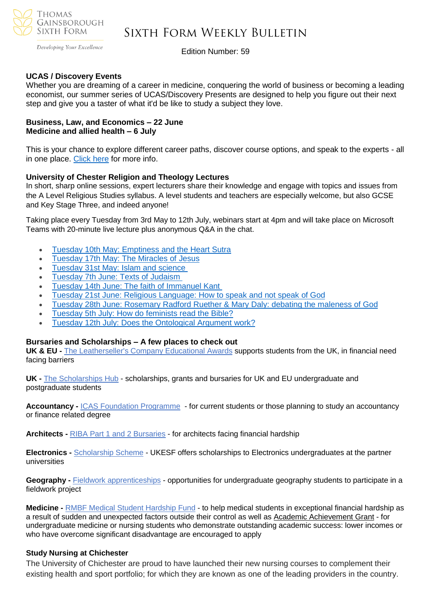

Developing Your Excellence

Edition Number: 59

#### **UCAS / Discovery Events**

Whether you are dreaming of a career in medicine, conquering the world of business or becoming a leading economist, our summer series of UCAS/Discovery Presents are designed to help you figure out their next step and give you a taster of what it'd be like to study a subject they love.

#### **Business, Law, and Economics – 22 June Medicine and allied health – 6 July**

This is your chance to explore different career paths, discover course options, and speak to the experts - all in one place. [Click here](https://www.ucas.com/advisers/guides-and-resources/adviser-news/news/ucasdiscovery-presents) for more info.

#### **University of Chester Religion and Theology Lectures**

In short, sharp online sessions, expert lecturers share their knowledge and engage with topics and issues from the A Level Religious Studies syllabus. A level students and teachers are especially welcome, but also GCSE and Key Stage Three, and indeed anyone!

Taking place every Tuesday from 3rd May to 12th July, webinars start at 4pm and will take place on Microsoft Teams with 20-minute live lecture plus anonymous Q&A in the chat.

- Tuesday 10th May: [Emptiness](https://sendy.chester.ac.uk/l/HNq0arXyBwUnyQ72QKSDAw/qV3akaBTsK4ZfGeoCjOl6Q/RYjGNyu3OIgog9btc7b79w) and the Heart Sutra
- [Tuesday](https://sendy.chester.ac.uk/l/HNq0arXyBwUnyQ72QKSDAw/Fg8SWWVg9ndRtAD1Xn763rhg/RYjGNyu3OIgog9btc7b79w) 17th May: The Miracles of Jesus
- [Tuesday](https://sendy.chester.ac.uk/l/HNq0arXyBwUnyQ72QKSDAw/3kkhCg138922avn7637abVMsFw/RYjGNyu3OIgog9btc7b79w) 31st May: Islam and science
- [Tuesday](https://sendy.chester.ac.uk/l/HNq0arXyBwUnyQ72QKSDAw/z7mXk2XShabBXcZ9z5leSA/RYjGNyu3OIgog9btc7b79w) 7th June: Texts of Judaism
- Tuesday 14th June: The faith of [Immanuel](https://sendy.chester.ac.uk/l/HNq0arXyBwUnyQ72QKSDAw/XvuJJf2IjOSvjbAMf1nXQA/RYjGNyu3OIgog9btc7b79w) Kant
- Tuesday 21st June: Religious [Language:](https://sendy.chester.ac.uk/l/HNq0arXyBwUnyQ72QKSDAw/Dfpq1FJ89mIzzM8oiQEbew/RYjGNyu3OIgog9btc7b79w) How to speak and not speak of God
- Tuesday 28th June: [Rosemary](https://sendy.chester.ac.uk/l/HNq0arXyBwUnyQ72QKSDAw/Ob6tWpanXZ00T763AORwk763LQ/RYjGNyu3OIgog9btc7b79w) Radford Ruether & Mary Daly: debating the maleness of God
- Tuesday 5th July: How do [feminists](https://sendy.chester.ac.uk/l/HNq0arXyBwUnyQ72QKSDAw/XxDzA3Z2OArihoxH763qv35A/RYjGNyu3OIgog9btc7b79w) read the Bible?
- Tuesday 12th July: Does the [Ontological](https://sendy.chester.ac.uk/l/HNq0arXyBwUnyQ72QKSDAw/7sLqHR6M3m2c1OA061bt2g/RYjGNyu3OIgog9btc7b79w) Argument work?

#### **Bursaries and Scholarships – A few places to check out**

**UK & EU -** The [Leatherseller's](https://netsxithform.us5.list-manage.com/track/click?u=8dedc07ce580600fe618f38c3&id=a055ff38a3&e=51b5a4fd55) Company Educational Awards supports students from the UK, in financial need facing barriers

**UK -** The [Scholarships](https://netsxithform.us5.list-manage.com/track/click?u=8dedc07ce580600fe618f38c3&id=466111d4fb&e=51b5a4fd55) Hub - scholarships, grants and bursaries for UK and EU undergraduate and postgraduate students

**Accountancy -** ICAS Foundation [Programme](https://netsxithform.us5.list-manage.com/track/click?u=8dedc07ce580600fe618f38c3&id=b39058a6a8&e=51b5a4fd55) - for current students or those planning to study an accountancy or finance related degree

**Architects -** RIBA Part 1 and 2 [Bursaries](https://netsxithform.us5.list-manage.com/track/click?u=8dedc07ce580600fe618f38c3&id=f3dec096f7&e=51b5a4fd55) - for architects facing financial hardship

**Electronics -** [Scholarship](https://netsxithform.us5.list-manage.com/track/click?u=8dedc07ce580600fe618f38c3&id=b57b74b764&e=51b5a4fd55) Scheme - UKESF offers scholarships to Electronics undergraduates at the partner universities

**Geography -** [Fieldwork](https://netsxithform.us5.list-manage.com/track/click?u=8dedc07ce580600fe618f38c3&id=df60c69092&e=51b5a4fd55) [apprenticeships](https://netsxithform.us5.list-manage.com/track/click?u=8dedc07ce580600fe618f38c3&id=acdd2cb3b3&e=51b5a4fd55) - opportunities for undergraduate geography students to participate in a fieldwork project

**Medicine -** RMBF Medical Student [Hardship](https://netsxithform.us5.list-manage.com/track/click?u=8dedc07ce580600fe618f38c3&id=01743f67fa&e=51b5a4fd55) Fund - to help medical students in exceptional financial hardship as a result of sudden and unexpected factors outside their control as well as Academic [Achievement](https://netsxithform.us5.list-manage.com/track/click?u=8dedc07ce580600fe618f38c3&id=55b10faaae&e=51b5a4fd55) Grant - for undergraduate medicine or nursing students who demonstrate outstanding academic success: lower incomes or who have overcome significant disadvantage are encouraged to apply

#### **Study Nursing at Chichester**

The University of Chichester are proud to have launched their new nursing courses to complement their existing health and sport portfolio; for which they are known as one of the leading providers in the country.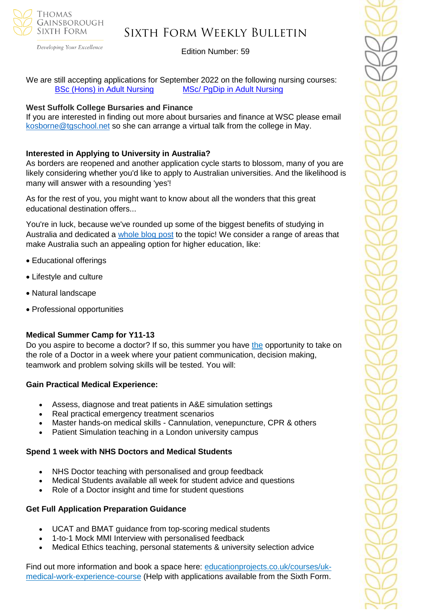

Developing Your Excellence

### Edition Number: 59

We are still accepting applications for September 2022 on the following nursing courses: BSc (Hons) in Adult [Nursing](https://successatschool.us3.list-manage.com/track/click?u=2c038531b25876a2c7c9cf8b1&id=b1df198c83&e=530f418f3c) MSc/ PgDip in Adult [Nursing](https://successatschool.us3.list-manage.com/track/click?u=2c038531b25876a2c7c9cf8b1&id=f2fbadffff&e=530f418f3c)

#### **West Suffolk College Bursaries and Finance**

If you are interested in finding out more about bursaries and finance at WSC please email [kosborne@tgschool.net](mailto:kosborne@tgschool.net) so she can arrange a virtual talk from the college in May.

### **Interested in Applying to University in Australia?**

As borders are reopened and another application cycle starts to blossom, many of you are likely considering whether you'd like to apply to Australian universities. And the likelihood is many will answer with a resounding 'yes'!

As for the rest of you, you might want to know about all the wonders that this great educational destination offers...

You're in luck, because we've rounded up some of the biggest benefits of studying in Australia and dedicated a [whole blog post](https://bridge-u.com/blog/6-reasons-why-your-students-want-to-study-in-australia/) to the topic! We consider a range of areas that make Australia such an appealing option for higher education, like:

- Educational offerings
- Lifestyle and culture
- Natural landscape
- Professional opportunities

### **Medical Summer Camp for Y11-13**

Do you aspire to become a doctor? If so, this summer you have [the](https://edu9.sprintsend.co.uk/b2/link.php?M=1213464&N=104&L=347&F=H) opportunity to take on the role of a Doctor in a week where your patient communication, decision making, teamwork and problem solving skills will be tested. You will:

### **Gain Practical Medical Experience:**

- Assess, diagnose and treat patients in A&E simulation settings
- Real practical emergency treatment scenarios
- Master hands-on medical skills Cannulation, venepuncture, CPR & others
- Patient Simulation teaching in a London university campus

### **Spend 1 week with NHS Doctors and Medical Students**

- NHS Doctor teaching with personalised and group feedback
- Medical Students available all week for student advice and questions
- Role of a Doctor insight and time for student questions

### **Get Full Application Preparation Guidance**

- UCAT and BMAT guidance from top-scoring medical students
- 1-to-1 Mock MMI Interview with personalised feedback
- Medical Ethics teaching, personal statements & university selection advice

Find out more information and book a space here: [educationprojects.co.uk/courses/uk](https://edu9.sprintsend.co.uk/b2/link.php?M=1213464&N=104&L=346&F=H)[medical-work-experience-course](https://edu9.sprintsend.co.uk/b2/link.php?M=1213464&N=104&L=346&F=H) (Help with applications available from the Sixth Form.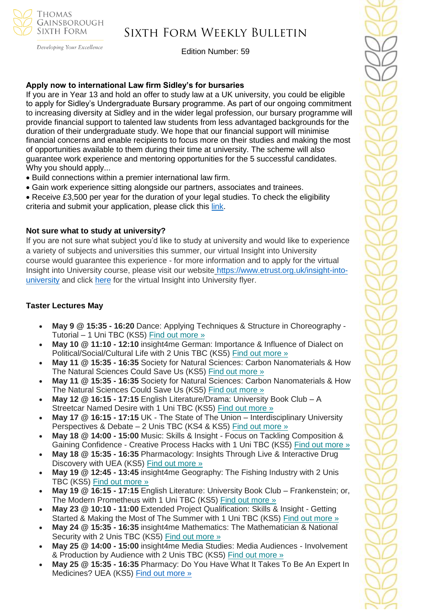

Developing Your Excellence

#### Edition Number: 59

#### **Apply now to international Law firm Sidley's for bursaries**

If you are in Year 13 and hold an offer to study law at a UK university, you could be eligible to apply for Sidley's Undergraduate Bursary programme. As part of our ongoing commitment to increasing diversity at Sidley and in the wider legal profession, our bursary programme will provide financial support to talented law students from less advantaged backgrounds for the duration of their undergraduate study. We hope that our financial support will minimise financial concerns and enable recipients to focus more on their studies and making the most of opportunities available to them during their time at university. The scheme will also guarantee work experience and mentoring opportunities for the 5 successful candidates. Why you should apply...

- Build connections within a premier international law firm.
- Gain work experience sitting alongside our partners, associates and trainees.
- Receive £3,500 per year for the duration of your legal studies. To check the eligibility criteria and submit your application, please click this [link.](https://www.sidleycareers.com/en/europe/london-opportunities?tab=london-undergraduate-bursary-programme&goal=0_65c6d67e71-ee29717514-212136547&mc_cid=ee29717514&mc_eid=530f418f3c)

#### **Not sure what to study at university?**

If you are not sure what subject you'd like to study at university and would like to experience a variety of subjects and universities this summer, our virtual Insight into University course would guarantee this experience - for more information and to apply for the virtual Insight into University course, please visit our website [https://www.etrust.org.uk/insight-into](https://www.etrust.org.uk/insight-into-university)[university](https://www.etrust.org.uk/insight-into-university) and click [here](https://dd233f6a-c442-4437-a8e1-9e42987b6020.filesusr.com/ugd/4517c8_fcb7add322ae4a1eab2156347e1f2442.pdf) for the virtual Insight into University flyer.

#### **Taster Lectures May**

- **May 9 @ 15:35 - 16:20** Dance: Applying Techniques & Structure in Choreography Tutorial – 1 Uni TBC (KS5) Find out [more](https://channeltalent.us10.list-manage.com/track/click?u=145837fa6843e0c349598322a&id=e899227397&e=155232616c) »
- **May 10 @ 11:10 - 12:10** insight4me German: Importance & Influence of Dialect on Political/Social/Cultural Life with 2 Unis TBC (KS5) Find out [more](https://channeltalent.us10.list-manage.com/track/click?u=145837fa6843e0c349598322a&id=61a0b7a9ff&e=155232616c) »
- **May 11 @ 15:35 - 16:35** Society for Natural Sciences: Carbon Nanomaterials & How The Natural Sciences Could Save Us (KS5) Find out [more](https://channeltalent.us10.list-manage.com/track/click?u=145837fa6843e0c349598322a&id=174c27095e&e=155232616c) »
- **May 11 @ 15:35 - 16:35** Society for Natural Sciences: Carbon Nanomaterials & How The Natural Sciences Could Save Us (KS5) Find out [more](https://channeltalent.us10.list-manage.com/track/click?u=145837fa6843e0c349598322a&id=4a71a47bd5&e=155232616c) »
- **May 12 @ 16:15 - 17:15** English Literature/Drama: University Book Club A Streetcar Named Desire with 1 Uni TBC (KS5) Find out [more](https://channeltalent.us10.list-manage.com/track/click?u=145837fa6843e0c349598322a&id=070d73006b&e=155232616c) »
- **May 17 @ 16:15 - 17:15** UK The State of The Union Interdisciplinary University Perspectives & Debate – 2 Unis TBC (KS4 & KS5) Find out [more](https://channeltalent.us10.list-manage.com/track/click?u=145837fa6843e0c349598322a&id=90392dc928&e=155232616c) »
- **May 18 @ 14:00 - 15:00** Music: Skills & Insight Focus on Tackling Composition & Gaining Confidence - Creative Process Hacks with 1 Uni TBC (KS5) Find out [more](https://channeltalent.us10.list-manage.com/track/click?u=145837fa6843e0c349598322a&id=0f143df4a0&e=155232616c) »
- **May 18 @ 15:35 - 16:35** Pharmacology: Insights Through Live & Interactive Drug Discovery with UEA (KS5) Find out [more](https://channeltalent.us10.list-manage.com/track/click?u=145837fa6843e0c349598322a&id=1d843601bd&e=ba0e9a2959) »
- **May 19 @ 12:45 - 13:45** insight4me Geography: The Fishing Industry with 2 Unis TBC (KS5) Find out [more](https://channeltalent.us10.list-manage.com/track/click?u=145837fa6843e0c349598322a&id=4666325908&e=155232616c) »
- **May 19 @ 16:15 - 17:15** English Literature: University Book Club Frankenstein; or, The Modern Prometheus with 1 Uni TBC (KS5) Find out [more](https://channeltalent.us10.list-manage.com/track/click?u=145837fa6843e0c349598322a&id=62400f7076&e=155232616c) »
- **May 23 @ 10:10 - 11:00** Extended Project Qualification: Skills & Insight Getting Started & Making the Most of The Summer with 1 Uni TBC (KS5) Find out [more](https://channeltalent.us10.list-manage.com/track/click?u=145837fa6843e0c349598322a&id=02acee6a35&e=155232616c) »
- **May 24 @ 15:35 - 16:35** insight4me Mathematics: The Mathematician & National Security with 2 Unis TBC (KS5) Find out [more](https://channeltalent.us10.list-manage.com/track/click?u=145837fa6843e0c349598322a&id=016a35f4ce&e=155232616c) »
- **May 25 @ 14:00 - 15:00** insight4me Media Studies: Media Audiences Involvement & Production by Audience with 2 Unis TBC (KS5) Find out [more](https://channeltalent.us10.list-manage.com/track/click?u=145837fa6843e0c349598322a&id=d921727e6b&e=155232616c) »
- **May 25 @ 15:35 - 16:35** Pharmacy: Do You Have What It Takes To Be An Expert In Medicines? UEA (KS5) Find out [more](https://channeltalent.us10.list-manage.com/track/click?u=145837fa6843e0c349598322a&id=769dc7ff61&e=ba0e9a2959) »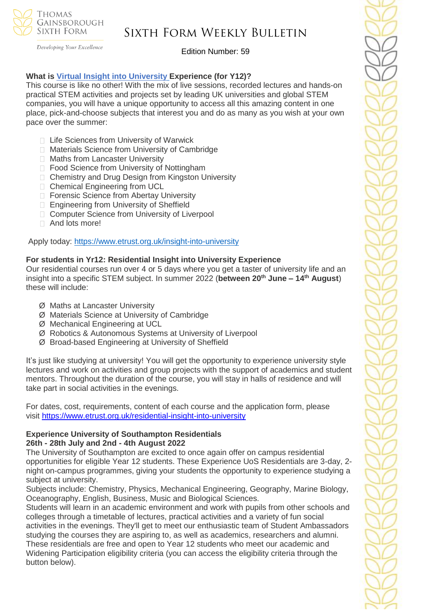

Developing Your Excellence

Edition Number: 59

### **What is Virtual Insight into [University](https://www.etrust.org.uk/insight-into-university) Experience (for Y12)?**

This course is like no other! With the mix of live sessions, recorded lectures and hands-on practical STEM activities and projects set by leading UK universities and global STEM companies, you will have a unique opportunity to access all this amazing content in one place, pick-and-choose subjects that interest you and do as many as you wish at your own pace over the summer:

- □ Life Sciences from University of Warwick
- □ Materials Science from University of Cambridge
- □ Maths from Lancaster University
- □ Food Science from University of Nottingham
- □ Chemistry and Drug Design from Kingston University
- □ Chemical Engineering from UCL
- □ Forensic Science from Abertay University
- □ Engineering from University of Sheffield
- □ Computer Science from University of Liverpool
- □ And lots more!

Apply today: <https://www.etrust.org.uk/insight-into-university>

### **For students in Yr12: Residential Insight into University Experience**

Our residential courses run over 4 or 5 days where you get a taster of university life and an insight into a specific STEM subject. In summer 2022 (**between 20th June – 14th August**) these will include:

- Ø Maths at Lancaster University
- Ø Materials Science at University of Cambridge
- Ø Mechanical Engineering at UCL
- Ø Robotics & Autonomous Systems at University of Liverpool
- Ø Broad-based Engineering at University of Sheffield

It's just like studying at university! You will get the opportunity to experience university style lectures and work on activities and group projects with the support of academics and student mentors. Throughout the duration of the course, you will stay in halls of residence and will take part in social activities in the evenings.

For dates, cost, requirements, content of each course and the application form, please visit <https://www.etrust.org.uk/residential-insight-into-university>

#### **Experience University of Southampton Residentials 26th - 28th July and 2nd - 4th August 2022**

The University of Southampton are excited to once again offer on campus residential opportunities for eligible Year 12 students. These Experience UoS Residentials are 3-day, 2 night on-campus programmes, giving your students the opportunity to experience studying a subject at university.

Subjects include: Chemistry, Physics, Mechanical Engineering, Geography, Marine Biology, Oceanography, English, Business, Music and Biological Sciences.

Students will learn in an academic environment and work with pupils from other schools and colleges through a timetable of lectures, practical activities and a variety of fun social activities in the evenings. They'll get to meet our enthusiastic team of Student Ambassadors studying the courses they are aspiring to, as well as academics, researchers and alumni. These residentials are free and open to Year 12 students who meet our academic and Widening Participation eligibility criteria (you can access the eligibility criteria through the button below).